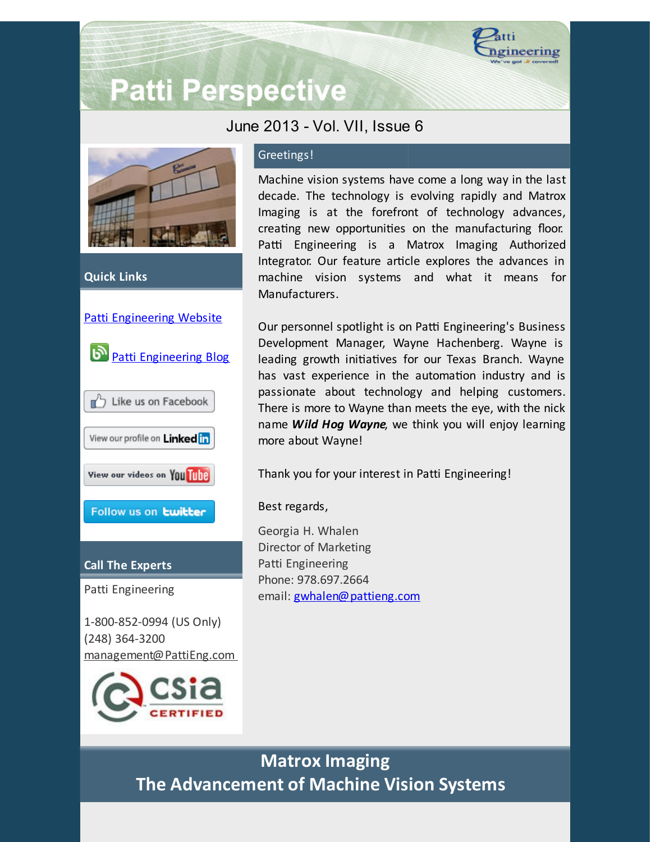

# **Patti Perspective**

## June 2013 - Vol. VII, Issue 6



### **Quick Links**



Patti Engineering

1-800-852-0994 (US Only) (248) 364-3200 [management@PattiEng.com](mailto:management@pattieng.com)



## Greetings!

Machine vision systems have come a long way in the last decade. The technology is evolving rapidly and Matrox Imaging is at the forefront of technology advances, creating new opportunities on the manufacturing floor. Patti Engineering is a Matrox Imaging Authorized Integrator. Our feature article explores the advances in machine vision systems and what it means for Manufacturers.

Our personnel spotlight is on Patti Engineering's Business Development Manager, Wayne Hachenberg. Wayne is leading growth initiatives for our Texas Branch. Wayne has vast experience in the automation industry and is passionate about technology and helping customers. There is more to Wayne than meets the eye, with the nick name *Wild Hog Wayne*, we think you will enjoy learning more about Wayne!

Thank you for your interest in Patti Engineering!

Best regards,

Georgia H. Whalen Director of Marketing Patti Engineering Phone: 978.697.2664 email: [gwhalen@pattieng.com](mailto:gwhalen@pattieng.com)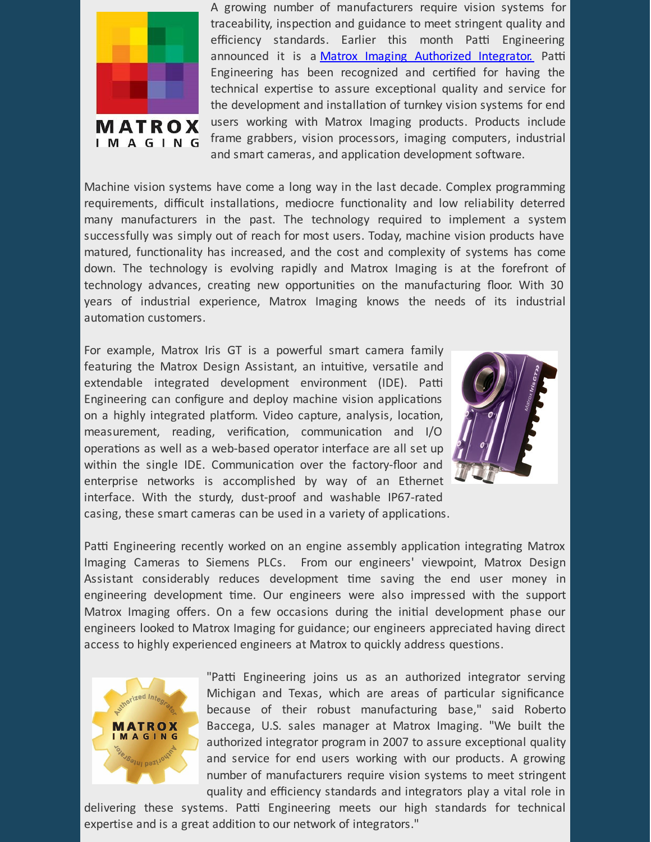

A growing number of manufacturers require vision systems for traceability, inspection and guidance to meet stringent quality and efficiency standards. Earlier this month Patti Engineering announced it is a Matrox Imaging [Authorized](http://www.matrox.com/imaging/en/buy/integrators/program/?utm_source=Patti+Perspective+6_2013&utm_campaign=Patti+Perspective+6_13&utm_medium=email) Integrator. Patti Engineering has been recognized and certified for having the technical expertise to assure exceptional quality and service for the development and installation of turnkey vision systems for end users working with Matrox Imaging products. Products include frame grabbers, vision processors, imaging computers, industrial and smart cameras, and application development software.

Machine vision systems have come a long way in the last decade. Complex programming requirements, difficult installations, mediocre functionality and low reliability deterred many manufacturers in the past. The technology required to implement a system successfully was simply out of reach for most users. Today, machine vision products have matured, functionality has increased, and the cost and complexity of systems has come down. The technology is evolving rapidly and Matrox Imaging is at the forefront of technology advances, creating new opportunities on the manufacturing floor. With 30 years of industrial experience, Matrox Imaging knows the needs of its industrial automation customers.

For example, Matrox Iris GT is a powerful smart camera family featuring the Matrox Design Assistant, an intuitive, versatile and extendable integrated development environment (IDE). Patti Engineering can configure and deploy machine vision applications on a highly integrated platform. Video capture, analysis, location, measurement, reading, verification, communication and I/O operations as well as a web-based operator interface are all set up within the single IDE. Communication over the factory-floor and enterprise networks is accomplished by way of an Ethernet interface. With the sturdy, dust-proof and washable IP67-rated casing, these smart cameras can be used in a variety of applications.



Patti Engineering recently worked on an engine assembly application integrating Matrox Imaging Cameras to Siemens PLCs. From our engineers' viewpoint, Matrox Design Assistant considerably reduces development time saving the end user money in engineering development time. Our engineers were also impressed with the support Matrox Imaging offers. On a few occasions during the initial development phase our engineers looked to Matrox Imaging for guidance; our engineers appreciated having direct access to highly experienced engineers at Matrox to quickly address questions.



"Patti Engineering joins us as an authorized integrator serving Michigan and Texas, which are areas of particular significance because of their robust manufacturing base," said Roberto Baccega, U.S. sales manager at Matrox Imaging. "We built the authorized integrator program in 2007 to assure exceptional quality and service for end users working with our products. A growing number of manufacturers require vision systems to meet stringent quality and efficiency standards and integrators play a vital role in

delivering these systems. Patti Engineering meets our high standards for technical expertise and is a great addition to our network of integrators."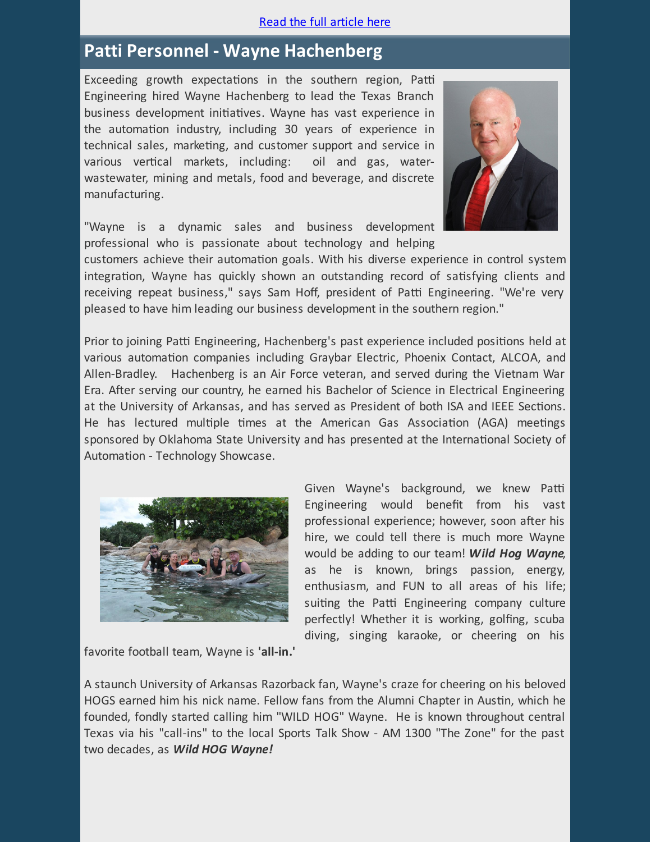#### Read the full [article](http://library.constantcontact.com/doc205/1101449641109/doc/csZuIi1jCXAlz2DP.pdf) here

# **Patti Personnel - Wayne Hachenberg**

Exceeding growth expectations in the southern region, Patti Engineering hired Wayne Hachenberg to lead the Texas Branch business development initiatives. Wayne has vast experience in the automation industry, including 30 years of experience in technical sales, marketing, and customer support and service in various vertical markets, including: oil and gas, waterwastewater, mining and metals, food and beverage, and discrete manufacturing.



"Wayne is a dynamic sales and business development professional who is passionate about technology and helping

customers achieve their automation goals. With his diverse experience in control system integration, Wayne has quickly shown an outstanding record of satisfying clients and receiving repeat business," says Sam Hoff, president of Patti Engineering. "We're very pleased to have him leading our business development in the southern region."

Prior to joining Patti Engineering, Hachenberg's past experience included positions held at various automation companies including Graybar Electric, Phoenix Contact, ALCOA, and Allen-Bradley. Hachenberg is an Air Force veteran, and served during the Vietnam War Era. After serving our country, he earned his Bachelor of Science in Electrical Engineering at the University of Arkansas, and has served as President of both ISA and IEEE Sections. He has lectured multiple times at the American Gas Association (AGA) meetings sponsored by Oklahoma State University and has presented at the International Society of Automation - Technology Showcase.



Given Wayne's background, we knew Patti Engineering would benefit from his vast professional experience; however, soon after his hire, we could tell there is much more Wayne would be adding to our team! *Wild Hog Wayne*, as he is known, brings passion, energy, enthusiasm, and FUN to all areas of his life; suiting the Patti Engineering company culture perfectly! Whether it is working, golfing, scuba diving, singing karaoke, or cheering on his

favorite football team, Wayne is **'all-in.'**

A staunch University of Arkansas Razorback fan, Wayne's craze for cheering on his beloved HOGS earned him his nick name. Fellow fans from the Alumni Chapter in Austin, which he founded, fondly started calling him "WILD HOG" Wayne. He is known throughout central Texas via his "call-ins" to the local Sports Talk Show - AM 1300 "The Zone" for the past two decades, as *Wild HOG Wayne!*